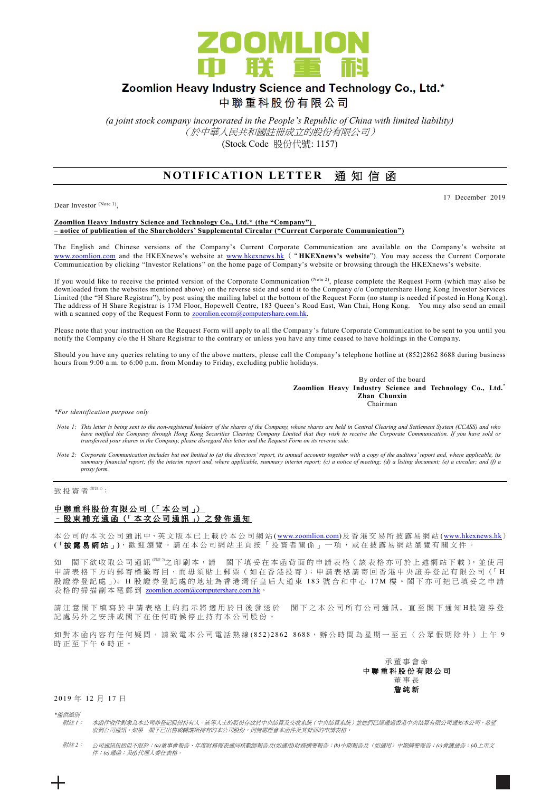

# Zoomlion Heavy Industry Science and Technology Co., Ltd.\*

中聯重科股份有限公司

*(a joint stock company incorporated in the People's Republic of China with limited liability)* (於中華人民共和國註冊成立的股份有限公司) (Stock Code 股份代號: 1157)

### **NOTIFICATION LETTER 通知信函**

Dear Investor (Note 1),

#### 17 December 2019

#### **Zoomlion Heavy Industry Science and Technology Co., Ltd.\* (the "Company") – notice of publication of the Shareholders' Supplemental Circular ("Current Corporate Communication")**

The English and Chinese versions of the Company's Current Corporate Communication are available on the Company's website at [www.zoomlion.com](http://www.zoomlion.com/) and the HKEXnews's website at [www.hkexnews.hk](http://www.hkexnews.hk/) ("**HKEXnews's website**"). You may access the Current Corporate Communication by clicking "Investor Relations" on the home page of Company's website or browsing through the HKEXnews's website.

If you would like to receive the printed version of the Corporate Communication (Note 2), please complete the Request Form (which may also be downloaded from the websites mentioned above) on the reverse side and send it to the Company c/o Computershare Hong Kong Investor Services Limited (the "H Share Registrar"), by post using the mailing label at the bottom of the Request Form (no stamp is needed if posted in Hong Kong). The address of H Share Registrar is 17M Floor, Hopewell Centre, 183 Queen's Road East, Wan Chai, Hong Kong. You may also send an email with a scanned copy of the Request Form to [zoomlion.ecom@computershare.com.hk.](mailto:zoomlion.ecom@computershare.com.hk)

Please note that your instruction on the Request Form will apply to all the Company's future Corporate Communication to be sent to you until you notify the Company c/o the H Share Registrar to the contrary or unless you have any time ceased to have holdings in the Compa ny.

Should you have any queries relating to any of the above matters, please call the Company's telephone hotline at (852)2862 8688 during business hours from 9:00 a.m. to 6:00 p.m. from Monday to Friday, excluding public holidays.

> By order of the board **Zoomlion Heavy Industry Science and Technology Co., Ltd.\* Zhan Chunxin Chairman**

*\*For identification purpose only*

- *Note 1: This letter is being sent to the non-registered holders of the shares of the Company, whose shares are held in Central Clearing and Settlement System (CCASS) and who*  have notified the Company through Hong Kong Securities Clearing Company Limited that they wish to receive the Corporate Communication. If you have sold or<br>transferred your shares in the Company, please disregard this lette
- *Note 2: Corporate Communication includes but not limited to (a) the directors' report, its annual accounts together with a copy of the auditors' report and, where applicable, its summary financial report; (b) the interim report and, where applicable, summary interim report; (c) a notice of meeting; (d) a listing document; (e) a circular; and (f) a proxy form.*

致投資者<sup>(附註1)</sup>:

### 中聯重科股份有限公司 (「本公司」) – 股 東 補 充 通 函 (「 本 次 公 司 通 訊 」) 之 發 佈 通 知

本公司的 本 次 公 司 通 訊 中、英 文 版 本 已 上 載於本 公 司 網 站 [\(www.zoomlion.com\)](http://www.zoomlion.com/)及香港交易所披露易網站 [\(www.hkexnews.hk](http://www.hkexnews.hk/)) **(**「披露易網站 」**)**,歡迎瀏覽。 請 在 本 公 司 網 站 主 頁 按 「 投 資 者 關 係 」 一 項 , 或 在 披 露 易 網 站 瀏 覽 有 關 文 件 。

如 閣下欲收取公司通訊<sup>《睢》</sup>之印刷本,請 閣下填妥在本函背面的申請表格(該表格亦可於上述網站下載),並使用 申請表格下方的郵寄標籤寄回,而毋須貼上郵票(如在香港投寄);申請表格請寄回香港中央證券登記有限公司(「H 股證券登記處 心。H 股證券登記處的地址為香港灣仔皇后大道東 183號合和中心 17M 樓。閣下亦可把已填妥之申請 表格的掃描副本電郵到 [zoomlion.ecom@computershare.com.hk](mailto:zoomlion.ecom@computershare.com.hk)

請注 意 閣 下 填 寫 於 申 請 表 格 上 的 指 示 將 適 用 於 日 後 發 送 於 图 下 之 本 公 司 所 有 公 司 通 訊 , 直 至 閣 下 通 知 H股 證 券 登 記處另外之安排或閣下在任何時候停止持有本公司股份。

如對本函內容有任何疑問,請致電本公司電話熱線 (852) 2862 8688,辦公時間為星期一至五(公眾假期除外)上午 9 時正至下午 6 時正。



2019 年 12 月 17 日

*\**僅供識別

- 附註 *1*: 本函件收件對象為本公司非登記股份持有人。該等人士的股份存放於中央結算及交收系統(中央結算系統)並他們已經通過香港中央結算有限公司通知本公司,希望 收到公司通訊。如果 閣下已出售或轉讓所持有的本公司股份,則無需理會本函件及其背面的申請表格。
- 附註 *2*: 公司通訊包括但不限於:*(a)*董事會報告、年度財務報表連同核數師報告及*(*如適用*)*財務摘要報告;*(b)*中期報告及(如適用)中期摘要報告;*(c)*會議通告;*(d)*上市文 件;*(e)*通函;及*(f)*代理人委任表格。